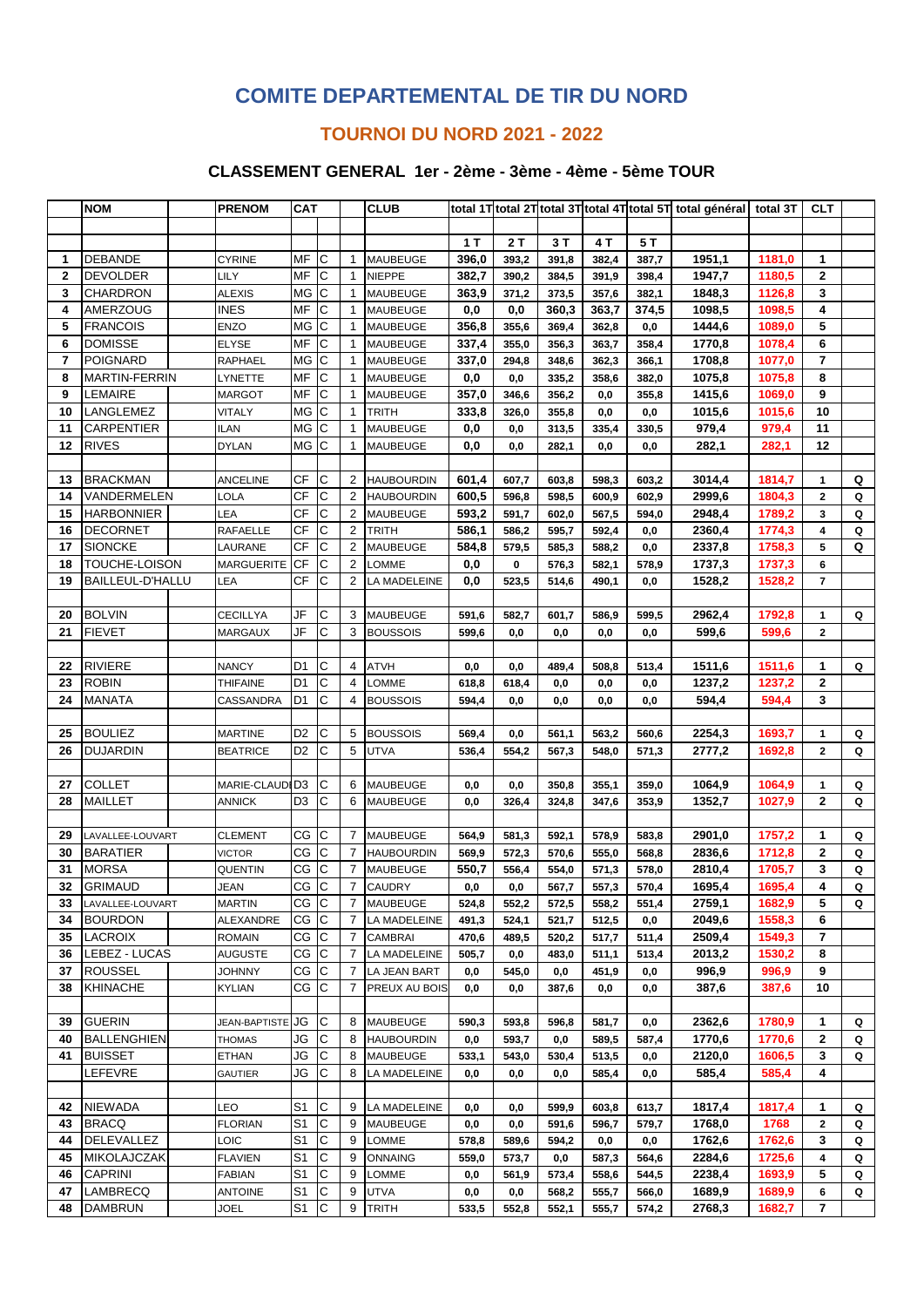# **COMITE DEPARTEMENTAL DE TIR DU NORD**

### **TOURNOI DU NORD 2021 - 2022**

#### **CLASSEMENT GENERAL 1er - 2ème - 3ème - 4ème - 5ème TOUR**

|                | <b>NOM</b>         | <b>PRENOM</b>        | <b>CAT</b>     |                |                | <b>CLUB</b>       |       |       |       |       |       | total 1T total 2T total 3T total 4T total 5T total général total 3T |        | <b>CLT</b>   |   |
|----------------|--------------------|----------------------|----------------|----------------|----------------|-------------------|-------|-------|-------|-------|-------|---------------------------------------------------------------------|--------|--------------|---|
|                |                    |                      |                |                |                |                   |       |       |       |       |       |                                                                     |        |              |   |
|                |                    |                      |                |                |                |                   | 1T    | 2T    | 3T    | 4 T   | 5 T   |                                                                     |        |              |   |
| 1              | <b>DEBANDE</b>     | <b>CYRINE</b>        | MF             | lC.            | $\mathbf{1}$   | <b>MAUBEUGE</b>   | 396,0 | 393,2 | 391,8 | 382,4 | 387,7 | 1951,1                                                              | 1181,0 | 1            |   |
| $\overline{2}$ | <b>DEVOLDER</b>    | LILY                 | MF             | С              | $\mathbf{1}$   | <b>NIEPPE</b>     | 382,7 | 390,2 | 384,5 | 391,9 | 398,4 | 1947,7                                                              | 1180,5 | $\mathbf 2$  |   |
| 3              | CHARDRON           | ALEXIS               | MG             | C              | 1              | MAUBEUGE          | 363,9 | 371,2 | 373,5 | 357,6 | 382,1 | 1848,3                                                              | 1126,8 | 3            |   |
| 4              | <b>AMERZOUG</b>    | <b>INES</b>          | MF             | C              | $\mathbf{1}$   | MAUBEUGE          | 0,0   | 0,0   | 360.3 | 363,7 | 374,5 | 1098,5                                                              | 1098,5 | 4            |   |
| 5              | <b>FRANCOIS</b>    | <b>ENZO</b>          | MG             | lC.            | 1              | MAUBEUGE          | 356,8 | 355,6 | 369,4 | 362,8 | 0,0   | 1444,6                                                              | 1089,0 | 5            |   |
| 6              | <b>DOMISSE</b>     | <b>ELYSE</b>         | MF             | $\mathsf{C}$   | $\mathbf{1}$   | <b>MAUBEUGE</b>   | 337,4 | 355,0 | 356,3 | 363,7 | 358,4 | 1770,8                                                              | 1078,4 | 6            |   |
| $\overline{7}$ | POIGNARD           | RAPHAEL              | <b>MG</b>      | $\mathsf{C}$   | $\mathbf{1}$   | <b>MAUBEUGE</b>   | 337,0 | 294,8 | 348,6 | 362,3 | 366,1 | 1708,8                                                              | 1077,0 | 7            |   |
| 8              | MARTIN-FERRIN      | LYNETTE              | MF             | C              | 1              | MAUBEUGE          | 0,0   | 0,0   | 335,2 | 358,6 | 382,0 | 1075,8                                                              | 1075,8 | 8            |   |
| 9              | LEMAIRE            | <b>MARGOT</b>        | MF             | C              | $\mathbf 1$    | MAUBEUGE          | 357,0 | 346,6 | 356,2 | 0,0   | 355,8 | 1415,6                                                              | 1069,0 | 9            |   |
| 10             | LANGLEMEZ          | VITALY               | MG C           |                | $\mathbf{1}$   | TRITH             | 333,8 | 326,0 | 355,8 | 0,0   | 0,0   | 1015,6                                                              | 1015,6 | 10           |   |
| 11             | CARPENTIER         | <b>ILAN</b>          | ΜG             | Iс             | $\mathbf{1}$   | MAUBEUGE          | 0,0   | 0,0   | 313,5 | 335,4 | 330,5 | 979,4                                                               | 979,4  | 11           |   |
| 12             | <b>RIVES</b>       | <b>DYLAN</b>         | $MG$ $C$       |                | $\mathbf{1}$   | MAUBEUGE          | 0,0   | 0,0   | 282,1 | 0,0   | 0,0   | 282,1                                                               | 282,1  | 12           |   |
|                |                    |                      |                |                |                |                   |       |       |       |       |       |                                                                     |        |              |   |
| 13             | <b>BRACKMAN</b>    | <b>ANCELINE</b>      | СF             | C              | 2              | <b>HAUBOURDIN</b> | 601,4 | 607,7 | 603,8 | 598,3 | 603,2 | 3014,4                                                              | 1814,7 | 1            | Q |
| 14             | VANDERMELEN        | LOLA                 | <b>CF</b>      | lC.            | $\overline{2}$ | <b>HAUBOURDIN</b> | 600,5 | 596,8 | 598,5 | 600,9 | 602,9 | 2999,6                                                              | 1804,3 | $\mathbf{2}$ | Q |
| 15             | <b>HARBONNIER</b>  | LEA                  | СF             | C              | 2              | MAUBEUGE          | 593,2 | 591,7 | 602,0 | 567,5 | 594,0 | 2948,4                                                              | 1789,2 | 3            | Q |
| 16             | DECORNET           | RAFAELLE             | СF             | C              | $\overline{2}$ | <b>TRITH</b>      | 586,1 | 586,2 | 595,7 | 592,4 | 0,0   | 2360,4                                                              | 1774,3 | 4            | Q |
| 17             | SIONCKE            | LAURANE              | <b>CF</b>      | C              | $\overline{2}$ | MAUBEUGE          | 584,8 | 579,5 | 585,3 | 588,2 | 0,0   | 2337,8                                                              | 1758,3 | 5            | Q |
| 18             | TOUCHE-LOISON      | MARGUERITE           | <b>CF</b>      | C              | $\overline{2}$ | LOMME             | 0,0   | 0     | 576,3 | 582,1 | 578,9 | 1737,3                                                              | 1737,3 | 6            |   |
| 19             | BAILLEUL-D'HALLU   | LEA                  | СF             | C              | $\overline{2}$ | LA MADELEINE      | 0,0   | 523,5 | 514,6 | 490,1 | 0,0   | 1528,2                                                              | 1528,2 | 7            |   |
|                |                    |                      |                |                |                |                   |       |       |       |       |       |                                                                     |        |              |   |
| 20             | <b>BOLVIN</b>      | <b>CECILLYA</b>      | JF             | С              | 3              | MAUBEUGE          | 591,6 | 582,7 | 601,7 | 586,9 | 599,5 | 2962,4                                                              | 1792,8 | 1            | Q |
| 21             | <b>FIEVET</b>      | <b>MARGAUX</b>       | JF             | C              | 3              | <b>BOUSSOIS</b>   | 599,6 | 0,0   | 0,0   | 0,0   | 0,0   | 599,6                                                               | 599,6  | 2            |   |
|                |                    |                      |                |                |                |                   |       |       |       |       |       |                                                                     |        |              |   |
| 22             | <b>RIVIERE</b>     | <b>NANCY</b>         | D1             | С              | 4              | <b>ATVH</b>       | 0,0   | 0,0   | 489,4 | 508,8 | 513,4 | 1511,6                                                              | 1511,6 | 1            | Q |
| 23             | <b>ROBIN</b>       | THIFAINE             | D1             | С              | 4              | LOMME             | 618,8 | 618,4 | 0,0   | 0,0   | 0,0   | 1237,2                                                              | 1237,2 | $\mathbf{2}$ |   |
| 24             | <b>MANATA</b>      | CASSANDRA            | D1             | C              | 4              | <b>BOUSSOIS</b>   | 594,4 | 0,0   | 0,0   | 0,0   | 0,0   | 594,4                                                               | 594,4  | 3            |   |
|                |                    |                      |                |                |                |                   |       |       |       |       |       |                                                                     |        |              |   |
| 25             | <b>BOULIEZ</b>     | MARTINE              | D2             | С              | 5              | <b>BOUSSOIS</b>   | 569,4 | 0,0   | 561,1 | 563,2 | 560,6 | 2254,3                                                              | 1693,7 | 1            | Q |
| 26             | <b>DUJARDIN</b>    | <b>BEATRICE</b>      | D2             | С              | 5              | UTVA              | 536,4 | 554,2 | 567,3 | 548,0 | 571,3 | 2777,2                                                              | 1692,8 | 2            | Q |
|                |                    |                      |                |                |                |                   |       |       |       |       |       |                                                                     |        |              |   |
| 27             | <b>COLLET</b>      | MARIE-CLAUDID3       |                | С              | 6              | MAUBEUGE          | 0,0   | 0,0   | 350,8 | 355,1 | 359,0 | 1064,9                                                              | 1064,9 | 1            | Q |
| 28             | <b>MAILLET</b>     | <b>ANNICK</b>        | D <sub>3</sub> | С              | 6              | MAUBEUGE          | 0,0   | 326,4 | 324,8 | 347,6 | 353,9 | 1352,7                                                              | 1027,9 | $\mathbf 2$  | Q |
|                |                    |                      |                |                |                |                   |       |       |       |       |       |                                                                     |        |              |   |
| 29             | LAVALLEE-LOUVART   | <b>CLEMENT</b>       | CG             | С              | $\overline{7}$ | <b>MAUBEUGE</b>   | 564,9 | 581,3 | 592,1 | 578,9 | 583,8 | 2901,0                                                              | 1757,2 | 1            | Q |
| 30             | <b>BARATIER</b>    | VICTOR               | CG             | IС             | 7              | <b>HAUBOURDIN</b> | 569,9 | 572,3 | 570,6 | 555,0 | 568,8 | 2836,6                                                              | 1712,8 | 2            | Q |
| 31             | <b>MORSA</b>       | QUENTIN              | CG             | C              | 7              | MAUBEUGE          | 550,7 | 556,4 | 554,0 | 571,3 | 578,0 | 2810,4                                                              | 1705,7 | 3            | Q |
| 32             | <b>GRIMAUD</b>     | <b>JEAN</b>          | CG             | Iс             | $\overline{7}$ | <b>CAUDRY</b>     | 0,0   | 0, 0  | 567,7 | 557,3 | 570,4 | 1695,4                                                              | 1695,4 | 4            | Q |
| 33             | LAVALLEE-LOUVART   | <b>MARTIN</b>        | cg c           |                | 7              | <b>MAUBEUGE</b>   | 524,8 | 552,2 | 572,5 | 558,2 | 551,4 | 2759,1                                                              | 1682,9 | 5            | Q |
| 34             | <b>BOURDON</b>     | ALEXANDRE            | CG C           |                | $\overline{7}$ | LA MADELEINE      | 491,3 | 524,1 | 521,7 | 512,5 | 0,0   | 2049,6                                                              | 1558,3 | 6            |   |
| 35             | <b>LACROIX</b>     | <b>ROMAIN</b>        | CG             | $\overline{C}$ | 7              | CAMBRAI           | 470,6 | 489,5 | 520,2 | 517,7 | 511,4 | 2509,4                                                              | 1549,3 | 7            |   |
| 36             | LEBEZ - LUCAS      | AUGUSTE              | $CG$ $C$       |                | 7              | LA MADELEINE      | 505,7 | 0,0   | 483,0 | 511,1 | 513,4 | 2013,2                                                              | 1530,2 | 8            |   |
| 37             | <b>ROUSSEL</b>     | JOHNNY               | $CG$ $ C $     |                | 7              | LA JEAN BART      | 0,0   | 545,0 | 0,0   | 451,9 | 0,0   | 996,9                                                               | 996,9  | 9            |   |
| 38             | <b>KHINACHE</b>    | KYLIAN               | cg  c          |                | 7              | PREUX AU BOIS     | 0,0   | 0,0   | 387,6 | 0,0   | 0,0   | 387,6                                                               | 387,6  | 10           |   |
|                |                    |                      |                |                |                |                   |       |       |       |       |       |                                                                     |        |              |   |
| 39             | <b>GUERIN</b>      | <b>JEAN-BAPTISTE</b> | <b>JG</b>      | C              | 8              | <b>MAUBEUGE</b>   | 590,3 | 593,8 | 596,8 | 581,7 | 0,0   | 2362,6                                                              | 1780,9 | 1            | Q |
| 40             | <b>BALLENGHIEN</b> | THOMAS               | JG             | C              | 8              | <b>HAUBOURDIN</b> | 0,0   | 593,7 | 0,0   | 589,5 | 587,4 | 1770,6                                                              | 1770,6 | 2            | Q |
| 41             | <b>BUISSET</b>     | ETHAN                | JG             | C              | 8              | MAUBEUGE          | 533,1 | 543,0 | 530,4 | 513,5 | 0,0   | 2120,0                                                              | 1606,5 | 3            | Q |
|                | LEFEVRE            | GAUTIER              | JG             | C              | 8              | LA MADELEINE      | 0,0   | 0, 0  | 0,0   | 585,4 | 0,0   | 585,4                                                               | 585,4  | 4            |   |
|                |                    |                      |                |                |                |                   |       |       |       |       |       |                                                                     |        |              |   |
| 42             | <b>NIEWADA</b>     | LEO                  | S <sub>1</sub> | C              | 9              | LA MADELEINE      | 0,0   | 0,0   | 599,9 | 603,8 | 613,7 | 1817,4                                                              | 1817,4 | 1            | Q |
| 43             | <b>BRACQ</b>       | <b>FLORIAN</b>       | S <sub>1</sub> | C              | 9              | <b>MAUBEUGE</b>   | 0,0   | 0,0   | 591,6 | 596,7 | 579,7 | 1768,0                                                              | 1768   | 2            | Q |
| 44             | <b>DELEVALLEZ</b>  | LOIC                 | S1             | C              | 9              | LOMME             | 578,8 | 589,6 | 594,2 | 0,0   | 0,0   | 1762,6                                                              | 1762,6 | 3            | Q |
| 45             | <b>MIKOLAJCZAK</b> | <b>FLAVIEN</b>       | S <sub>1</sub> | IС             | 9              | <b>ONNAING</b>    | 559,0 | 573,7 | 0,0   | 587,3 | 564,6 | 2284,6                                                              | 1725,6 | 4            | Q |
| 46             | <b>CAPRINI</b>     | FABIAN               | S <sub>1</sub> | C              | 9              | LOMME             | 0,0   | 561,9 | 573,4 | 558,6 | 544,5 | 2238,4                                                              | 1693,9 | 5            | Q |
| 47             | LAMBRECQ           | <b>ANTOINE</b>       | S1             | C              | 9              | <b>UTVA</b>       | 0,0   | 0,0   | 568,2 | 555,7 | 566,0 | 1689,9                                                              | 1689,9 | 6            | Q |
| 48             | <b>DAMBRUN</b>     | JOEL                 | S <sub>1</sub> | C              | 9              | <b>TRITH</b>      | 533,5 | 552,8 | 552,1 | 555,7 | 574,2 | 2768,3                                                              | 1682,7 | 7            |   |
|                |                    |                      |                |                |                |                   |       |       |       |       |       |                                                                     |        |              |   |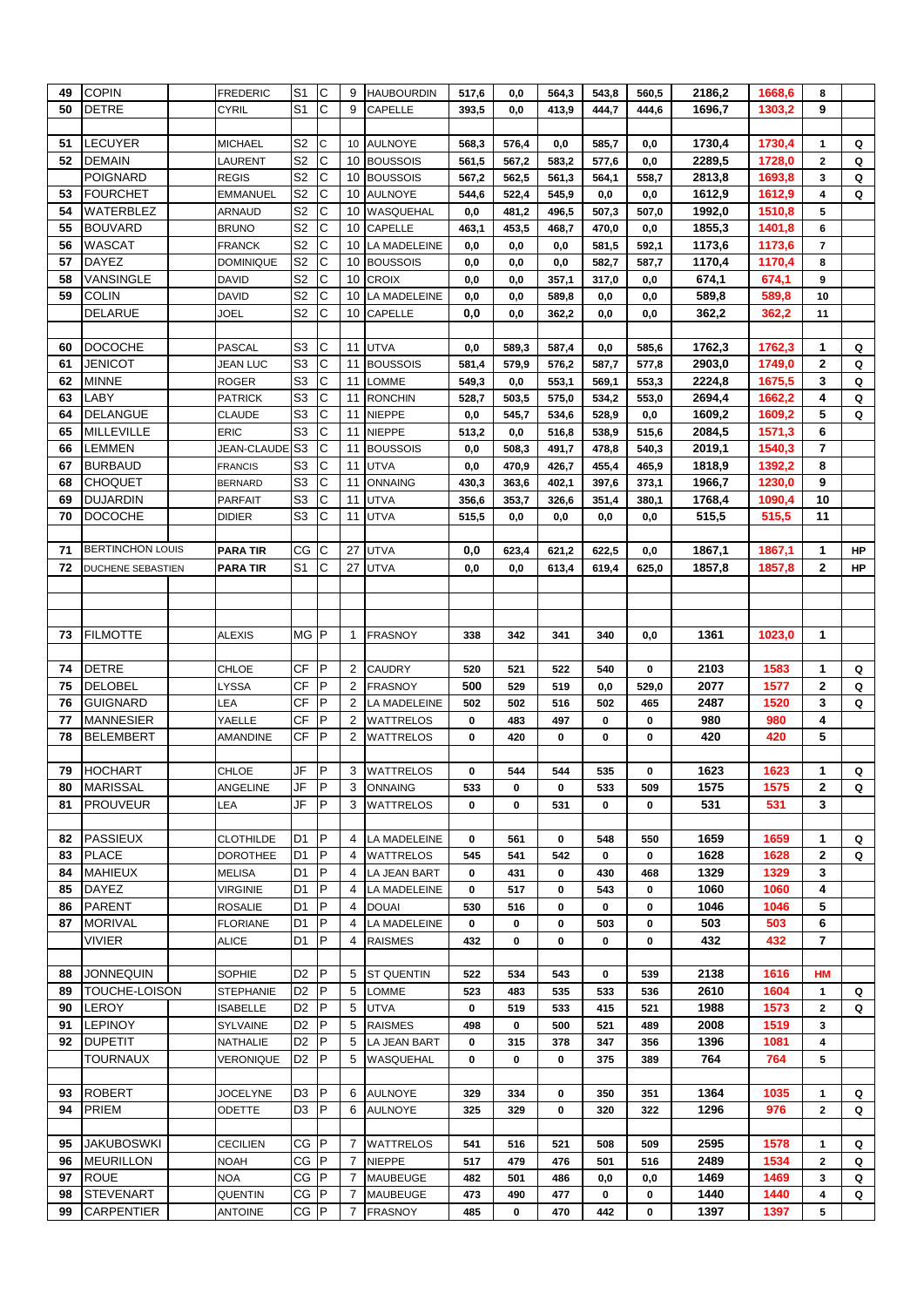| 49 | <b>COPIN</b>                         | <b>FREDERIC</b>    | S <sub>1</sub>                   | C            | 9      | <b>HAUBOURDIN</b> | 517,6 | 0,0   | 564,3 | 543,8 | 560,5       | 2186,2     | 1668,6     | 8                 |    |
|----|--------------------------------------|--------------------|----------------------------------|--------------|--------|-------------------|-------|-------|-------|-------|-------------|------------|------------|-------------------|----|
| 50 | <b>DETRE</b>                         | <b>CYRIL</b>       | S <sub>1</sub>                   | C            | 9      | CAPELLE           | 393,5 | 0,0   | 413,9 | 444,7 | 444,6       | 1696,7     | 1303,2     | 9                 |    |
|    |                                      |                    |                                  |              |        |                   |       |       |       |       |             |            |            |                   |    |
| 51 | LECUYER                              | <b>MICHAEL</b>     | S <sub>2</sub>                   | C            | 10     | <b>AULNOYE</b>    | 568,3 | 576,4 | 0,0   | 585,7 | 0,0         | 1730,4     | 1730,4     | 1                 | Q  |
| 52 | <b>DEMAIN</b>                        | LAURENT            | S <sub>2</sub>                   | С            | 10     | <b>BOUSSOIS</b>   | 561,5 | 567,2 | 583,2 | 577,6 | 0,0         | 2289,5     | 1728,0     | $\mathbf{2}$      | Q  |
|    | <b>POIGNARD</b>                      | <b>REGIS</b>       | S <sub>2</sub>                   | С            | 10     | <b>BOUSSOIS</b>   | 567,2 | 562,5 | 561,3 | 564,1 | 558,7       | 2813,8     | 1693,8     | 3                 | Q  |
| 53 | <b>FOURCHET</b>                      | <b>EMMANUEL</b>    | S <sub>2</sub>                   | С            | 10     | <b>AULNOYE</b>    | 544,6 | 522,4 | 545,9 | 0,0   | 0,0         | 1612,9     | 1612,9     | 4                 | Q  |
| 54 | WATERBLEZ                            | ARNAUD             | S <sub>2</sub>                   | С            | 10     | WASQUEHAL         | 0,0   | 481,2 | 496,5 | 507,3 | 507,0       | 1992,0     | 1510,8     | 5                 |    |
| 55 | <b>BOUVARD</b>                       | <b>BRUNO</b>       | S <sub>2</sub>                   | C            | 10     | <b>CAPELLE</b>    | 463,1 | 453,5 | 468,7 | 470,0 | 0,0         | 1855,3     | 1401,8     | 6                 |    |
| 56 | WASCAT                               | <b>FRANCK</b>      | S <sub>2</sub>                   | C            | 10     | LA MADELEINE      | 0,0   | 0,0   | 0,0   | 581,5 | 592,1       | 1173,6     | 1173,6     | 7                 |    |
| 57 | DAYEZ                                | <b>DOMINIQUE</b>   | S <sub>2</sub>                   | С            | 10     | <b>BOUSSOIS</b>   | 0,0   | 0,0   | 0,0   | 582,7 | 587,7       | 1170,4     | 1170,4     | 8                 |    |
| 58 | VANSINGLE                            | <b>DAVID</b>       | S <sub>2</sub>                   | С            | 10     | <b>CROIX</b>      | 0,0   | 0,0   | 357,1 | 317,0 | 0,0         | 674,1      | 674,1      | 9                 |    |
| 59 | <b>COLIN</b>                         | <b>DAVID</b>       | S <sub>2</sub>                   | С            | 10     | LA MADELEINE      | 0,0   | 0,0   | 589,8 | 0,0   | 0,0         | 589,8      | 589,8      | 10                |    |
|    | <b>DELARUE</b>                       | JOEL               | S2                               | С            | 10     | <b>CAPELLE</b>    | 0,0   | 0,0   | 362,2 | 0,0   | 0,0         | 362,2      | 362,2      | 11                |    |
|    |                                      |                    |                                  |              |        |                   |       |       |       |       |             |            |            |                   |    |
| 60 | <b>DOCOCHE</b>                       | <b>PASCAL</b>      | S <sub>3</sub>                   | С            | 11     | <b>UTVA</b>       | 0,0   | 589,3 | 587,4 | 0,0   | 585,6       | 1762,3     | 1762,3     | 1                 | Q  |
| 61 | JENICOT                              | JEAN LUC           | S <sub>3</sub>                   | С            | 11     | <b>BOUSSOIS</b>   | 581,4 | 579,9 | 576,2 | 587,7 | 577,8       | 2903,0     | 1749,0     | 2                 | Q  |
| 62 | MINNE                                |                    | S <sub>3</sub>                   | C            | 11     | LOMME             |       |       |       |       |             | 2224,8     |            | 3                 | Q  |
|    | LABY                                 | ROGER              | S <sub>3</sub>                   | С            |        |                   | 549,3 | 0,0   | 553,1 | 569,1 | 553,3       |            | 1675,5     | 4                 |    |
| 63 |                                      | <b>PATRICK</b>     |                                  | C            | 11     | <b>RONCHIN</b>    | 528,7 | 503,5 | 575,0 | 534,2 | 553,0       | 2694,4     | 1662,2     |                   | Q  |
| 64 | <b>DELANGUE</b>                      | <b>CLAUDE</b>      | S <sub>3</sub><br>S <sub>3</sub> | C            | 11     | <b>NIEPPE</b>     | 0,0   | 545,7 | 534,6 | 528,9 | 0,0         | 1609,2     | 1609,2     | 5                 | Q  |
| 65 | <b>MILLEVILLE</b>                    | <b>ERIC</b>        |                                  |              | 11     | <b>NIEPPE</b>     | 513,2 | 0,0   | 516,8 | 538,9 | 515,6       | 2084,5     | 1571,3     | 6                 |    |
| 66 | LEMMEN                               | <b>JEAN-CLAUDE</b> | S <sub>3</sub>                   | С            | 11     | <b>BOUSSOIS</b>   | 0,0   | 508,3 | 491,7 | 478,8 | 540,3       | 2019,1     | 1540,3     | 7                 |    |
| 67 | <b>BURBAUD</b>                       | <b>FRANCIS</b>     | S <sub>3</sub>                   | С            | 11     | <b>UTVA</b>       | 0,0   | 470,9 | 426,7 | 455,4 | 465,9       | 1818,9     | 1392,2     | 8                 |    |
| 68 | <b>CHOQUET</b>                       | <b>BERNARD</b>     | S <sub>3</sub>                   | С            | 11     | <b>ONNAING</b>    | 430,3 | 363,6 | 402,1 | 397,6 | 373,1       | 1966,7     | 1230,0     | 9                 |    |
| 69 | <b>DUJARDIN</b>                      | <b>PARFAIT</b>     | S <sub>3</sub>                   | С            | 11     | <b>UTVA</b>       | 356,6 | 353,7 | 326,6 | 351,4 | 380,1       | 1768,4     | 1090,4     | 10                |    |
| 70 | <b>DOCOCHE</b>                       | <b>DIDIER</b>      | S <sub>3</sub>                   | С            | 11     | <b>UTVA</b>       | 515,5 | 0,0   | 0,0   | 0,0   | 0,0         | 515,5      | 515,5      | 11                |    |
|    | <b>BERTINCHON LOUIS</b>              |                    |                                  |              |        |                   |       |       |       |       |             |            |            |                   |    |
| 71 |                                      | <b>PARA TIR</b>    | CG<br>S <sub>1</sub>             | С            | 27     | <b>UTVA</b>       | 0,0   | 623,4 | 621,2 | 622,5 | 0,0         | 1867,1     | 1867,1     | 1<br>$\mathbf{2}$ | HP |
| 72 | DUCHENE SEBASTIEN                    | <b>PARA TIR</b>    |                                  | C            | 27     | <b>UTVA</b>       | 0,0   | 0,0   | 613,4 | 619,4 | 625,0       | 1857,8     | 1857,8     |                   | ΗP |
|    |                                      |                    |                                  |              |        |                   |       |       |       |       |             |            |            |                   |    |
|    |                                      |                    |                                  |              |        |                   |       |       |       |       |             |            |            |                   |    |
|    |                                      |                    | MG P                             |              | 1      |                   |       |       |       |       |             |            |            | 1                 |    |
| 73 | <b>FILMOTTE</b>                      | <b>ALEXIS</b>      |                                  |              |        | <b>FRASNOY</b>    | 338   | 342   | 341   | 340   | 0,0         | 1361       | 1023,0     |                   |    |
|    |                                      |                    | CF                               | P            |        |                   |       |       |       |       |             |            |            |                   |    |
| 74 | <b>DETRE</b>                         | CHLOE              | <b>CF</b>                        | P            | 2      | <b>CAUDRY</b>     | 520   | 521   | 522   | 540   | 0           | 2103       | 1583       | 1                 | Q  |
| 75 | <b>DELOBEL</b>                       | LYSSA              | <b>CF</b>                        | P            | 2      | <b>FRASNOY</b>    | 500   | 529   | 519   | 0,0   | 529,0       | 2077       | 1577       | $\mathbf{2}$      | Q  |
| 76 | <b>GUIGNARD</b>                      | LEA                | <b>CF</b>                        | P            | 2      | LA MADELEINE      | 502   | 502   | 516   | 502   | 465         | 2487       | 1520       | 3                 | Q  |
| 77 | <b>MANNESIER</b><br><b>BELEMBERT</b> | YAELLE             | СF                               | P            | 2<br>2 | <b>WATTRELOS</b>  | 0     | 483   | 497   | 0     | 0           | 980<br>420 | 980<br>420 | 4<br>5            |    |
| 78 |                                      | AMANDINE           |                                  |              |        | <b>WATTRELOS</b>  | 0     | 420   | 0     | 0     | 0           |            |            |                   |    |
| 79 | <b>HOCHART</b>                       | <b>CHLOE</b>       | JF                               | P            | 3      | <b>WATTRELOS</b>  | 0     | 544   | 544   | 535   | 0           | 1623       | 1623       | 1                 | Q  |
| 80 | <b>MARISSAL</b>                      | ANGELINE           | JF                               | <b>P</b>     | 3      | <b>ONNAING</b>    | 533   | 0     | 0     | 533   | 509         | 1575       | 1575       | 2                 | Q  |
| 81 | <b>PROUVEUR</b>                      | LEA                | JF                               | P            | 3      | <b>WATTRELOS</b>  | 0     | 0     | 531   | 0     | 0           | 531        | 531        | 3                 |    |
|    |                                      |                    |                                  |              |        |                   |       |       |       |       |             |            |            |                   |    |
| 82 | <b>PASSIEUX</b>                      | <b>CLOTHILDE</b>   | D <sub>1</sub>                   | $\mathsf{P}$ | 4      | LA MADELEINE      | 0     | 561   | 0     | 548   | 550         | 1659       | 1659       | 1                 | Q  |
| 83 | <b>PLACE</b>                         | <b>DOROTHEE</b>    | D1                               | P            | 4      | <b>WATTRELOS</b>  | 545   | 541   | 542   | 0     | 0           | 1628       | 1628       | $\mathbf{2}$      | Q  |
| 84 | <b>MAHIEUX</b>                       | <b>MELISA</b>      | D <sub>1</sub>                   | P            | 4      | LA JEAN BART      | 0     | 431   | 0     | 430   | 468         | 1329       | 1329       | 3                 |    |
| 85 | <b>DAYEZ</b>                         | <b>VIRGINIE</b>    | D <sub>1</sub>                   | P            | 4      | LA MADELEINE      | 0     | 517   | 0     | 543   | 0           | 1060       | 1060       | 4                 |    |
| 86 | <b>PARENT</b>                        | <b>ROSALIE</b>     | D <sub>1</sub>                   | P            | 4      | <b>DOUAI</b>      | 530   | 516   | 0     | 0     | 0           | 1046       | 1046       | 5                 |    |
| 87 | <b>MORIVAL</b>                       | <b>FLORIANE</b>    | D <sub>1</sub>                   | P            | 4      | LA MADELEINE      | 0     | 0     | 0     | 503   | 0           | 503        | 503        | 6                 |    |
|    | VIVIER                               | <b>ALICE</b>       | D1                               | P            | 4      | <b>RAISMES</b>    | 432   | 0     | 0     | 0     | $\mathbf 0$ | 432        | 432        | 7                 |    |
|    |                                      |                    |                                  |              |        |                   |       |       |       |       |             |            |            |                   |    |
| 88 | <b>JONNEQUIN</b>                     | SOPHIE             | D <sub>2</sub>                   | P            | 5      | <b>ST QUENTIN</b> | 522   | 534   | 543   | 0     | 539         | 2138       | 1616       | <b>HM</b>         |    |
| 89 | TOUCHE-LOISON                        | <b>STEPHANIE</b>   | D <sub>2</sub>                   | P            | 5      | LOMME             | 523   | 483   | 535   | 533   | 536         | 2610       | 1604       | 1                 | Q  |
| 90 | <b>LEROY</b>                         | <b>ISABELLE</b>    | D <sub>2</sub>                   | P            | 5      | <b>UTVA</b>       | 0     | 519   | 533   | 415   | 521         | 1988       | 1573       | $\mathbf{2}$      | Q  |
| 91 | <b>LEPINOY</b>                       | SYLVAINE           | D <sub>2</sub>                   | P            | 5      | <b>RAISMES</b>    | 498   | 0     | 500   | 521   | 489         | 2008       | 1519       | 3                 |    |
| 92 | <b>DUPETIT</b>                       | NATHALIE           | D <sub>2</sub>                   | P            | 5      | LA JEAN BART      | 0     | 315   | 378   | 347   | 356         | 1396       | 1081       | 4                 |    |
|    | TOURNAUX                             | VERONIQUE          | D <sub>2</sub>                   | P            | 5      | WASQUEHAL         | 0     | 0     | 0     | 375   | 389         | 764        | 764        | 5                 |    |
|    |                                      |                    |                                  |              |        |                   |       |       |       |       |             |            |            |                   |    |
|    |                                      |                    |                                  |              |        |                   | 329   | 334   |       |       | 351         |            |            |                   | Q  |
| 93 | <b>ROBERT</b>                        |                    | D <sub>3</sub>                   | P            | 6      |                   |       |       | 0     | 350   |             | 1364       | 1035       |                   |    |
| 94 |                                      | <b>JOCELYNE</b>    | D <sub>3</sub>                   | P            | 6      | <b>AULNOYE</b>    |       | 329   | 0     | 320   | 322         |            |            | 1<br>$\mathbf{2}$ | Q  |
|    | PRIEM                                | ODETTE             |                                  |              |        | <b>AULNOYE</b>    | 325   |       |       |       |             | 1296       | 976        |                   |    |
| 95 | <b>JAKUBOSWKI</b>                    | <b>CECILIEN</b>    | CG P                             |              | 7      | <b>WATTRELOS</b>  | 541   | 516   | 521   | 508   | 509         | 2595       | 1578       | 1                 | Q  |
| 96 |                                      | <b>NOAH</b>        | $CG$ $P$                         |              | 7      | <b>NIEPPE</b>     | 517   | 479   | 476   | 501   | 516         | 2489       | 1534       | $\mathbf{2}$      | Q  |
| 97 | <b>MEURILLON</b><br><b>ROUE</b>      | <b>NOA</b>         | $CG$ $P$                         |              | 7      | <b>MAUBEUGE</b>   | 482   | 501   | 486   | 0,0   | 0,0         | 1469       | 1469       | 3                 | Q  |
| 98 | <b>STEVENART</b>                     | QUENTIN            | CG P                             |              | 7      | <b>MAUBEUGE</b>   | 473   | 490   | 477   | 0     | 0           | 1440       | 1440       | 4                 | Q  |
| 99 | <b>CARPENTIER</b>                    | <b>ANTOINE</b>     | CG P                             |              | 7      | <b>FRASNOY</b>    | 485   | 0     | 470   | 442   | 0           | 1397       | 1397       | 5                 |    |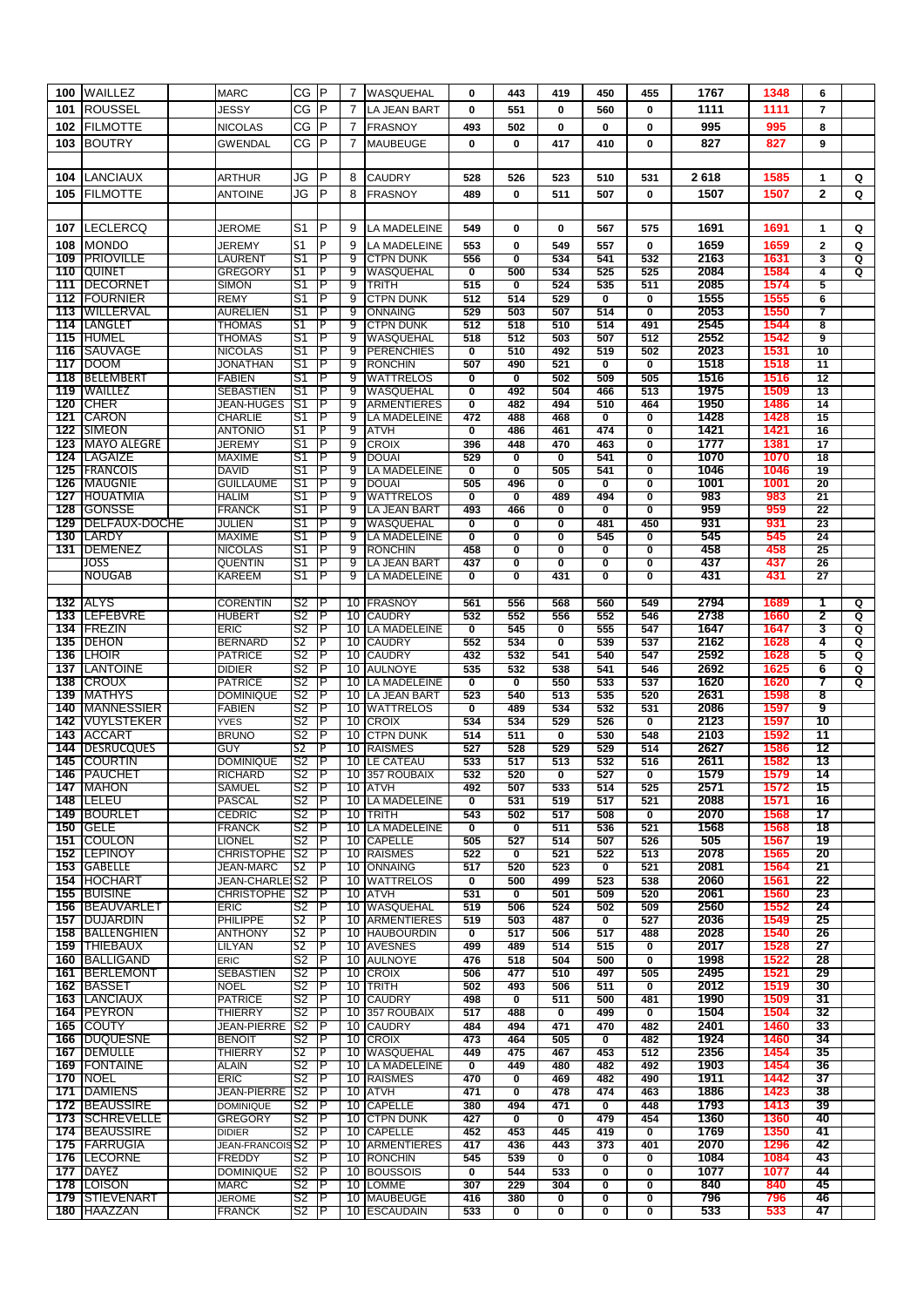| 100 | <b>WAILLEZ</b>                          | <b>MARC</b>                       | CG                   | $\mathsf P$ | 7              | WASQUEHAL                          | 0                              | 443                              | 419                            | 450                            | 455                            | 1767         | 1348         | 6                       |   |
|-----|-----------------------------------------|-----------------------------------|----------------------|-------------|----------------|------------------------------------|--------------------------------|----------------------------------|--------------------------------|--------------------------------|--------------------------------|--------------|--------------|-------------------------|---|
| 101 | <b>ROUSSEL</b>                          | <b>JESSY</b>                      | CG                   | IP          | $\overline{7}$ | LA JEAN BART                       | 0                              | 551                              | 0                              | 560                            | 0                              | 1111         | 1111         | $\overline{7}$          |   |
| 102 | <b>FILMOTTE</b>                         | <b>NICOLAS</b>                    | СG                   | P           | 7              | <b>FRASNOY</b>                     | 493                            | 502                              | 0                              | $\bf{0}$                       | $\mathbf 0$                    | 995          | 995          | 8                       |   |
|     |                                         |                                   |                      | P           |                |                                    |                                |                                  |                                |                                |                                |              |              |                         |   |
| 103 | <b>BOUTRY</b>                           | <b>GWENDAL</b>                    | CG                   |             | 7              | <b>MAUBEUGE</b>                    | 0                              | 0                                | 417                            | 410                            | $\mathbf 0$                    | 827          | 827          | 9                       |   |
|     |                                         |                                   |                      |             |                |                                    |                                |                                  |                                |                                |                                |              |              |                         |   |
| 104 | <b>LANCIAUX</b>                         | ARTHUR                            | JG                   | P           | 8              | <b>CAUDRY</b>                      | 528                            | 526                              | 523                            | 510                            | 531                            | 2618         | 1585         | 1                       | Q |
| 105 | <b>FILMOTTE</b>                         | <b>ANTOINE</b>                    | JG                   | P           | 8              | <b>FRASNOY</b>                     | 489                            | 0                                | 511                            | 507                            | $\mathbf 0$                    | 1507         | 1507         | $\mathbf{2}$            | Q |
|     |                                         |                                   |                      |             |                |                                    |                                |                                  |                                |                                |                                |              |              |                         |   |
| 107 | <b>LECLERCQ</b>                         | JEROME                            | S <sub>1</sub>       | P           | 9              | LA MADELEINE                       | 549                            | 0                                | 0                              | 567                            | 575                            | 1691         | 1691         | $\mathbf{1}$            | Q |
|     |                                         |                                   |                      |             |                |                                    |                                |                                  |                                |                                |                                |              |              |                         |   |
| 108 | <b>MONDO</b>                            | <b>JEREMY</b>                     | S <sub>1</sub>       | P           | 9              | LA MADELEINE                       | 553                            | 0                                | 549                            | 557                            | $\mathbf 0$                    | 1659         | 1659         | $\mathbf{2}$            | Q |
| 109 | <b>PRIOVILLE</b><br><b>TOUINET</b>      | LAURENT                           | S1<br>S1             | ΤP<br>P     | 9              | <b>CTPN DUNK</b>                   | 556                            | $\overline{\mathbf{0}}$          | 534                            | 541                            | 532                            | 2163<br>2084 | 1631         | 3                       | Q |
| 110 | 111 IDECORNET                           | <b>GREGORY</b>                    |                      | P           | 9<br>9         | WASQUEHAL                          | $\overline{\mathbf{0}}$<br>515 | 500<br>$\overline{\mathfrak{o}}$ | 534<br>524                     | 525<br>535                     | 525<br>511                     | 2085         | 1584<br>1574 | 4<br>5                  | Q |
| 112 | <b>FOURNIER</b>                         | <b>SIMON</b><br><b>REMY</b>       | S1<br>S1             | P           | 9              | <b>TRITH</b><br><b>CTPN DUNK</b>   | 512                            | 514                              | 529                            | $\overline{\mathbf{0}}$        | $\mathbf 0$                    | 1555         | 1555         | 6                       |   |
|     | 113   WILLERVAL                         | <b>AURELIEN</b>                   | S1                   | P           | 9              | ONNAING                            | 529                            | 503                              | 507                            | 514                            | $\overline{\mathbf{0}}$        | 2053         | 1550         | 7                       |   |
|     | 114 ILANGLET                            | <b>THOMAS</b>                     | S1                   | P           | 9              | <b>CTPN DUNK</b>                   | 512                            | 518                              | 510                            | 514                            | 491                            | 2545         | 1544         | $\overline{\mathbf{8}}$ |   |
| 115 | <b>HUMEL</b>                            | THOMAS                            | S1                   | P           | 9              | WASQUEHAL                          | 518                            | 512                              | 503                            | 507                            | 512                            | 2552         | 1542         | 9                       |   |
| 116 | <b>ISAUVAGE</b>                         | <b>NICOLAS</b>                    | S1                   | P           | 9              | <b>PERENCHIES</b>                  | 0                              | 510                              | 492                            | 519                            | 502                            | 2023         | 1531         | 10                      |   |
|     | 117 DOOM                                | <b>JONATHAN</b>                   | 'S1                  | P           | 9              | <b>RONCHIN</b>                     | 507                            | 490                              | 521                            | $\overline{\mathfrak{o}}$      | $\overline{\mathfrak{o}}$      | 1518         | 1518         | 11                      |   |
|     | 118 BELEMBERT                           | <b>FABIEN</b>                     | S1                   | Р           | 9              | <b>WATTRELOS</b>                   | $\overline{\mathbf{0}}$        | $\overline{\mathbf{0}}$          | 502                            | 509                            | 505                            | 1516         | 1516         | 12                      |   |
| 119 | <b>WAILLEZ</b>                          | <b>SEBASTIEN</b>                  | S <sub>1</sub>       | P           | 9              | WASQUEHAL                          | 0                              | 492                              | 504                            | 466                            | 513                            | 1975         | 1509         | 13                      |   |
|     | 120 CHER                                | <b>JEAN-HUGES</b>                 | S <sub>1</sub>       | P           | 9              | <b>ARMENTIERES</b>                 | $\overline{\mathbf{0}}$        | 482                              | 494                            | 510                            | 464                            | 1950         | 1486         | 14                      |   |
| 121 | <b>CARON</b>                            | <b>CHARLIE</b>                    | S1                   | P           | 9              | LA MADELEINE                       | 472                            | 488                              | 468                            | $\overline{\mathbf{0}}$        | $\overline{\mathbf{0}}$        | 1428         | 1428         | 15                      |   |
| 122 | <b>SIMEON</b>                           | <b>ANTONIO</b>                    | S1                   | P           | 9              | <b>ATVH</b>                        | $\overline{\mathbf{0}}$        | 486                              | 461                            | 474                            | $\overline{\mathbf{0}}$        | 1421         | 1421         | 16                      |   |
|     | 123   MAYO ALEGRE                       | JEREMY                            | S1                   | ΙP          | 9              | <b>CROIX</b>                       | 396                            | 448                              | 470                            | 463                            | $\mathbf 0$                    | 1777         | 1381         | 17                      |   |
|     | 124 LAGAIZE                             | <b>MAXIME</b>                     | S1                   | P           | 9              | <b>DOUAI</b>                       | 529                            | $\overline{\mathbf{0}}$          | $\overline{\mathbf{0}}$        | 541                            | $\overline{\mathbf{0}}$        | 1070         | 1070         | 18                      |   |
|     | <b>125 IFRANCOIS</b>                    | <b>DAVID</b>                      | S1                   | P           | 9              | LA MADELEINE                       | $\overline{\mathbf{0}}$        | $\overline{\mathfrak{o}}$        | 505                            | 541                            | $\overline{\mathbf{0}}$        | 1046         | 1046         | 19                      |   |
|     | <b>126 IMAUGNIE</b>                     | <b>GUILLAUME</b>                  | S <sub>1</sub>       | Р           | 9              | <b>DOUAI</b>                       | 505                            | 496                              | $\overline{\mathfrak{o}}$      | $\overline{\mathbf{0}}$        | $\overline{\mathfrak{o}}$      | 1001         | 1001         | $\overline{20}$         |   |
| 127 | <b>HOUATMIA</b>                         | <b>HALIM</b>                      | S1                   | P           | 9              | <b>WATTRELOS</b>                   | $\overline{\mathbf{0}}$        | $\overline{\mathbf{0}}$          | 489                            | 494                            | $\overline{\mathbf{0}}$        | 983          | 983          | $\overline{21}$         |   |
| 128 | <b>GONSSE</b>                           | <b>FRANCK</b><br><b>JULIEN</b>    | S1<br>S1             | P<br>P      | 9<br>9         | LA JEAN BART<br>WASQUEHAL          | 493                            | 466                              | $\overline{\mathbf{0}}$        | $\overline{\mathbf{0}}$<br>481 | $\overline{\mathbf{0}}$<br>450 | 959<br>931   | 959<br>931   | 22<br>23                |   |
|     | <b>129 IDELFAUX-DOCHE</b><br>130 ILARDY | <b>MAXIME</b>                     | S <sub>1</sub>       | P           | 9              | <b>LA MADELEINE</b>                | O<br>0                         | $\overline{\mathbf{0}}$<br>0     | $\overline{\mathbf{0}}$<br>0   | 545                            | $\mathbf 0$                    | 545          | 545          | 24                      |   |
| 131 | <b>DEMENEZ</b>                          | <b>NICOLAS</b>                    | S1                   | P           | 9              | <b>RONCHIN</b>                     | 458                            | 0                                | 0                              | 0                              | $\overline{\mathbf{0}}$        | 458          | 458          | 25                      |   |
|     | JOSS                                    | <b>QUENTIN</b>                    | S1                   | P           | 9              | LA JEAN BART                       | 437                            | $\overline{\mathbf{0}}$          | $\overline{\mathfrak{o}}$      | $\overline{\mathbf{0}}$        | $\overline{\mathbf{0}}$        | 437          | 437          | 26                      |   |
|     | <b>NOUGAB</b>                           | <b>KAREEM</b>                     | S1                   | P           | 9              | LA MADELEINE                       | $\overline{\mathbf{0}}$        | $\overline{\mathfrak{o}}$        | 431                            | $\overline{\mathfrak{o}}$      | $\overline{\mathfrak{o}}$      | 431          | 431          | 27                      |   |
|     |                                         |                                   |                      |             |                |                                    |                                |                                  |                                |                                |                                |              |              |                         |   |
|     | <b>132 ALYS</b>                         | <b>CORENTIN</b>                   | S <sub>2</sub>       | Р           |                | 10 <b>FRASNOY</b>                  | 561                            | 556                              | 568                            | 560                            | 549                            | 2794         | 1689         | 1                       | Q |
|     | 133 ILEFEBVRE                           | <b>HUBERT</b>                     | S2                   | P           |                | 10 CAUDRY                          | 532                            | 552                              | 556                            | 552                            | 546                            | 2738         | 1660         | 2                       | Q |
|     | 134 IFREZIN                             | <b>ERIC</b>                       | S2                   | P           |                | 10 LA MADELEINE                    | $\overline{\mathbf{0}}$        | 545                              | $\overline{\mathbf{0}}$        | 555                            | 547                            | 1647         | 1647         | 3                       | Q |
|     | 135 <b>IDEHON</b>                       | <b>BERNARD</b>                    | S <sub>2</sub>       | P           | 10             | <b>CAUDRY</b>                      | 552                            | 534                              | $\overline{\mathbf{0}}$        | 539                            | 537                            | 2162         | 1628         | 4                       | Q |
| 136 | <b>ILHOIR</b>                           | <b>PATRICE</b>                    | S2                   | P           | 10             | <b>CAUDRY</b>                      | 432                            | 532                              | 541                            | 540                            | 547                            | 2592         | 1628         | 5                       | Q |
|     | 137 ILANTOINE                           | <b>DIDIER</b>                     | S2                   | P           | 10             | <b>AULNOYE</b>                     | 535                            | 532                              | 538                            | 541                            | 546                            | 2692         | 1625         | 6                       | Q |
| 138 | <b>ICROUX</b>                           | <b>PATRICE</b>                    | S <sub>2</sub>       | P           | 10             | <b>LA MADELEINE</b>                | 0                              | 0                                | 550                            | 533                            | 537                            | 1620         | 1620         | 7                       | Q |
|     | <b>139 IMATHYS</b>                      | <b>DOMINIQUE</b>                  | S2                   | P           | 10             | <b>LA JEAN BART</b>                | 523                            | 540                              | 513                            | 535                            | 520                            | 2631         | 1598         | 8                       |   |
|     | 140 IMANNESSIER                         | <b>FABIEN</b>                     | S2                   | Р           |                | 10 WATTRELOS                       | $\overline{\mathbf{0}}$        | 489                              | 534                            | 532                            | 531                            | 2086         | 1597         | 9                       |   |
| 142 | VUYLSTEKER                              | <b>YVES</b>                       | S2                   | P<br>P      | 10             | <b>CROIX</b>                       | 534                            | 534                              | 529<br>$\overline{\mathbf{0}}$ | 526                            | $\overline{\mathbf{0}}$        | 2123<br>2103 | 1597         | 10<br>11                |   |
| 144 | 143 ACCART<br><b>DESRUCQUES</b>         | <b>BRUNO</b><br>GUY               | S2<br>S <sub>2</sub> | P           | 10<br>10       | <b>CTPN DUNK</b><br><b>RAISMES</b> | 514<br>527                     | 511<br>528                       | 529                            | 530<br>529                     | 548<br>514                     | 2627         | 1592<br>1586 | 12                      |   |
|     | 145 ICOURTIN                            | <b>DOMINIQUE</b>                  | S2                   | P           |                | 10 LE CATEAU                       | 533                            | 517                              | 513                            | 532                            | 516                            | 2611         | 1582         | 13                      |   |
|     | 146 PAUCHET                             | <b>RICHARD</b>                    | S2                   | ℡           |                | 10 357 ROUBAIX                     | 532                            | 520                              | $\overline{\mathfrak{o}}$      | 527                            | $\overline{\mathbf{0}}$        | 1579         | 1579         | 14                      |   |
|     | 147 MAHON                               | SAMUEL                            | S <sub>2</sub>       | P           |                | 10 ATVH                            | 492                            | 507                              | 533                            | 514                            | 525                            | 2571         | 1572         | 15                      |   |
|     | 148 ILELEU                              | <b>PASCAL</b>                     | S2                   | P           |                | 10 LA MADELEINE                    | $\overline{\mathbf{0}}$        | 531                              | 519                            | 517                            | 521                            | 2088         | 1571         | 16                      |   |
|     | 149 BOURLET                             | <b>CEDRIC</b>                     | S2                   | P           | 10             | <b>TRITH</b>                       | 543                            | 502                              | 517                            | 508                            | $\overline{\mathbf{0}}$        | 2070         | 1568         | 17                      |   |
|     | 150 IGELE                               | <b>FRANCK</b>                     | S2                   | P           | 10             | LA MADELEINE                       | $\overline{\mathbf{0}}$        | $\overline{\mathbf{0}}$          | 511                            | 536                            | 521                            | 1568         | 1568         | 18                      |   |
| 151 | <b>COULON</b>                           | <b>LIONEL</b>                     | S2                   | P           | 10             | <b>CAPELLE</b>                     | 505                            | 527                              | 514                            | 507                            | 526                            | 505          | 1567         | 19                      |   |
|     | 152 ILEPINOY                            | CHRISTOPHE <sup>1</sup> S2        |                      | P           |                | 10 RAISMES                         | 522                            | 0                                | 521                            | 522                            | 513                            | 2078         | 1565         | 20                      |   |
|     | 153 IGABELLE                            | <b>JEAN-MARC</b>                  | S2                   | P           |                | 10   ONNAING                       | 517                            | 520                              | 523                            | $\overline{\mathfrak{o}}$      | 521                            | 2081         | 1564         | 21                      |   |
|     | 154 HOCHART                             | <b>JEAN-CHARLE S2</b>             |                      | P           | 10             | <b>WATTRELOS</b>                   | 0                              | 500                              | 499                            | 523                            | 538                            | 2060         | 1561         | 22                      |   |
|     | 155 BUISINE                             | <b>CHRISTOPHE</b>                 | S2                   | P           | 10             | <b>ATVH</b>                        | 531                            | 0                                | 501                            | 509                            | 520                            | 2061         | 1560         | 23                      |   |
|     | 156 BEAUVARLET                          | <b>ERIC</b>                       | S2                   | Р           | 10             | WASQUEHAL<br><b>ARMENTIERES</b>    | 519                            | 506                              | 524                            | 502                            | 509                            | 2560         | 1552         | 24                      |   |
|     | 157 IDUJARDIN                           | <b>PHILIPPE</b><br><b>ANTHONY</b> | S2<br>S <sub>2</sub> | P<br>P      | 10<br>10       | <b>HAUBOURDIN</b>                  | 519                            | 503                              | 487                            | $\overline{\mathbf{0}}$<br>517 | 527                            | 2036<br>2028 | 1549<br>1540 | 25<br>26                |   |
|     | 158 BALLENGHIEN<br>159 ITHIEBAUX        | <b>LILYAN</b>                     | S2                   | P           |                | 10 AVESNES                         | 0<br>499                       | 517<br>489                       | 506<br>514                     | 515                            | 488<br>$\overline{\mathbf{0}}$ | 2017         | 1528         | 27                      |   |
|     | 160 BALLIGAND                           | <b>ERIC</b>                       | S2                   | Ρ           |                | 10 AULNOYE                         | 476                            | 518                              | 504                            | 500                            | $\overline{\mathfrak{o}}$      | 1998         | 1522         | 28                      |   |
|     | 161   BERLEMONT                         | SEBASTIEN                         | S2                   | P           | 10             | <b>CROIX</b>                       | 506                            | 477                              | 510                            | 497                            | 505                            | 2495         | 1521         | 29                      |   |
|     | 162 BASSET                              | <b>NOEL</b>                       | S <sub>2</sub>       | P           | 10             | <b>TRITH</b>                       | 502                            | 493                              | 506                            | 511                            | 0                              | 2012         | 1519         | 30                      |   |
|     | <b>163 LANCIAUX</b>                     | <b>PATRICE</b>                    | S2                   | Р           | 10             | <b>CAUDRY</b>                      | 498                            | $\overline{\mathbf{0}}$          | 511                            | 500                            | 481                            | 1990         | 1509         | 31                      |   |
|     | 164 IPEYRON                             | <b>THIERRY</b>                    | S2                   | P           | 10             | 357 ROUBAIX                        | 517                            | 488                              | $\overline{\mathbf{0}}$        | 499                            | $\overline{\mathbf{0}}$        | 1504         | 1504         | 32                      |   |
|     | 165 ICOUTY                              | JEAN-PIERRE <sup>1</sup> S2       |                      | Р           | 10             | <b>CAUDRY</b>                      | 484                            | 494                              | 471                            | 470                            | 482                            | 2401         | 1460         | 33                      |   |
|     | 166 DUQUESNE                            | <b>BENOIT</b>                     | S2                   | P           |                | 10 CROIX                           | 473                            | 464                              | 505                            | $\bf{0}$                       | 482                            | 1924         | 1460         | 34                      |   |
|     | <b>167 IDEMULLE</b>                     | <b>THIERRY</b>                    | S2                   | P           | 10             | <b>WASQUEHAL</b>                   | 449                            | 475                              | 467                            | 453                            | 512                            | 2356         | 1454         | 35                      |   |
|     | 169 FONTAINE                            | ALAIN                             | S2                   | P           | 10             | LA MADELEINE                       | $\overline{\mathbf{0}}$        | 449                              | 480                            | 482                            | 492                            | 1903         | 1454         | 36                      |   |
|     | <b>170 INOEL</b>                        | <b>ERIC</b>                       | S <sub>2</sub>       | P           | 10             | <b>RAISMES</b>                     | 470                            | 0                                | 469                            | 482                            | 490                            | 1911         | 1442         | 37                      |   |
|     | <b>171 DAMIENS</b>                      | <b>JEAN-PIERRE</b>                | S <sub>2</sub>       | P           | 10             | <b>ATVH</b>                        | 471                            | 0                                | 478                            | 474                            | 463                            | 1886         | 1423         | 38                      |   |
|     | <b>172 BEAUSSIRE</b>                    | <b>DOMINIQUE</b>                  | S2                   | Р           |                | 10 CAPELLE                         | 380                            | 494                              | 471                            | 0                              | 448                            | 1793         | 1413         | 39                      |   |
|     | 173 SCHREVELLE                          | <b>GREGORY</b>                    | S2                   | P           |                | 10 CTPN DUNK                       | 427                            | $\overline{\mathfrak{o}}$        | $\overline{\mathfrak{o}}$      | 479                            | 454                            | 1360         | 1360         | 40                      |   |
|     | <b>174 BEAUSSIRE</b>                    | <b>DIDIER</b>                     | S2                   | P           | 10             | <b>CAPELLE</b>                     | 452                            | 453                              | 445                            | 419                            | 0                              | 1769         | 1350         | 41                      |   |
|     | 175 FARRUGIA                            | <b>JEAN-FRANCOIS S2</b>           |                      | Р           | 10             | ARMENTIERES                        | 417                            | 436                              | 443                            | 373                            | 401                            | 2070         | 1296         | 42                      |   |
|     | 176 ILECORNE                            | <b>FREDDY</b>                     | S2                   | Р           | 10             | <b>RONCHIN</b>                     | 545                            | 539                              | $\overline{\mathfrak{o}}$      | $\overline{\mathfrak{o}}$      | $\overline{\mathfrak{o}}$      | 1084         | 1084         | 43                      |   |
|     | <b>177 DAYEZ</b>                        | <b>DOMINIQUE</b>                  | S2<br>S <sub>2</sub> | P<br>P      |                | 10 BOUSSOIS                        | $\overline{\mathbf{0}}$        | 544<br>229                       | 533                            | $\overline{\mathbf{0}}$        | $\overline{\mathbf{0}}$        | 1077<br>840  | 1077         | 44<br>45                |   |
|     | 178 ILOISON<br>179 ISTIEVENART          | <b>MARC</b><br><b>JEROME</b>      | S2                   | ΤP          | 10             | <b>LOMME</b><br>10 MAUBEUGE        | 307<br>416                     | 380                              | 304<br>0                       | 0<br>$\overline{\mathbf{0}}$   | 0<br>$\overline{\mathbf{0}}$   | 796          | 840<br>796   | 46                      |   |
|     | 180 HAAZZAN                             | <b>FRANCK</b>                     | S2                   | P           |                | 10 ESCAUDAIN                       | 533                            | $\overline{\mathbf{0}}$          | $\overline{\mathbf{0}}$        | $\overline{\mathbf{0}}$        | $\overline{\mathbf{0}}$        | 533          | 533          | 47                      |   |
|     |                                         |                                   |                      |             |                |                                    |                                |                                  |                                |                                |                                |              |              |                         |   |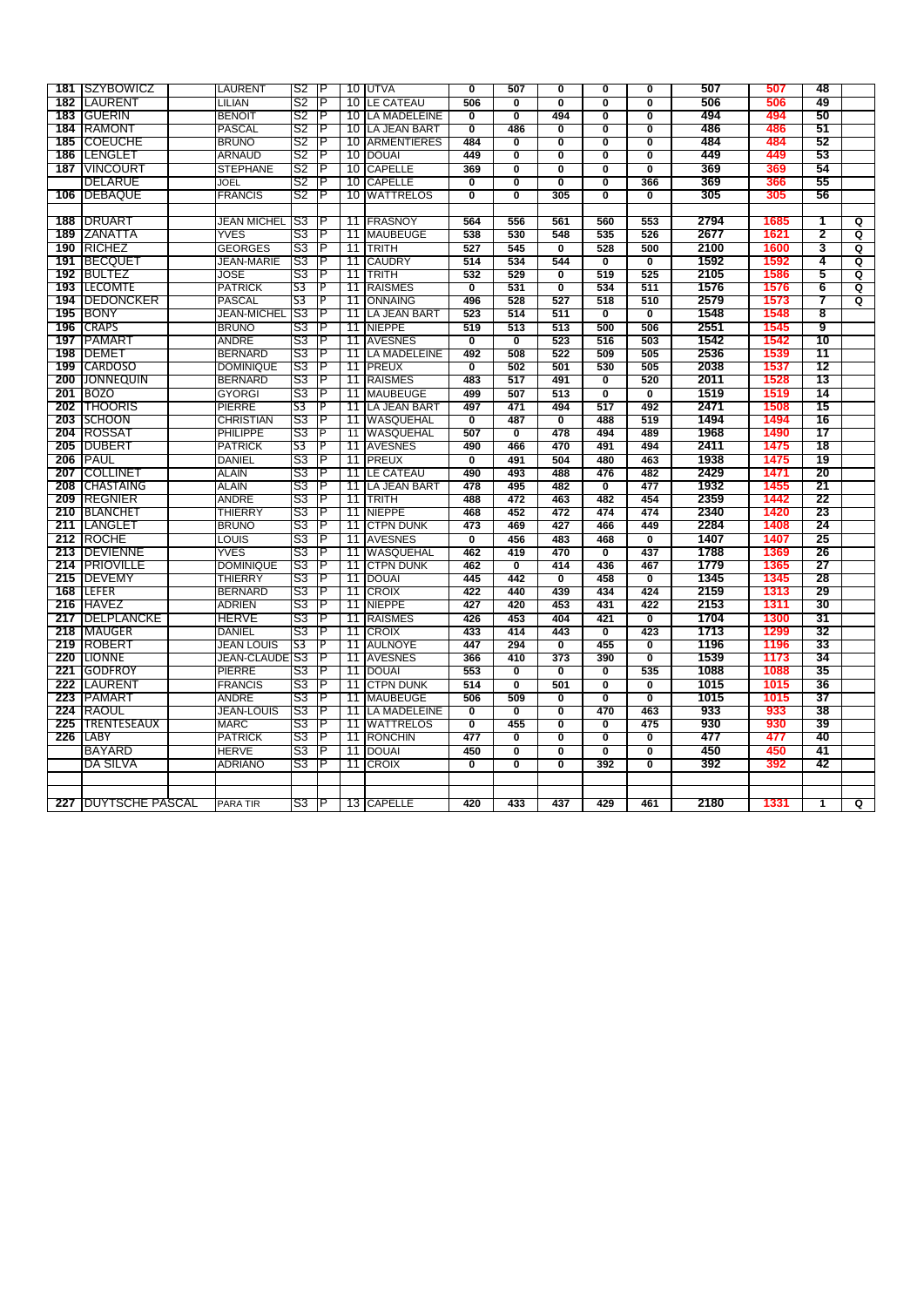|     | 181 SZYBOWICZ               | LAURENT               | S2             | ΤP       |      | 10 JUTVA            | O                         | 507                       | O                       | $\overline{\mathbf{0}}$   | O                         | 507  | 507  | 48 |                         |
|-----|-----------------------------|-----------------------|----------------|----------|------|---------------------|---------------------------|---------------------------|-------------------------|---------------------------|---------------------------|------|------|----|-------------------------|
| 182 | LAURENT                     | LILIAN                | S2             | P        | 10   | <b>LE CATEAU</b>    | 506                       | $\overline{\mathbf{0}}$   | Ō                       | Ō                         | $\overline{\mathbf{0}}$   | 506  | 506  | 49 |                         |
| 183 | <b>GUERIN</b>               | <b>BENOIT</b>         | S2             | P        | 10   | <b>LA MADELEINE</b> | 0                         | Ō                         | 494                     | 0                         | 0                         | 494  | 494  | 50 |                         |
|     | 184 RAMONT                  | <b>PASCAL</b>         | S2             | ΤP       |      | 10 LA JEAN BART     | $\overline{\mathfrak{o}}$ | 486                       | Ō                       | O                         | Ō                         | 486  | 486  | 51 |                         |
|     | 185 COEUCHE                 | <b>BRUNO</b>          | S2             | P        | 10   | <b>ARMENTIERES</b>  | 484                       | $\overline{\mathbf{0}}$   | Ō                       | $\overline{\mathbf{0}}$   | Ō                         | 484  | 484  | 52 |                         |
|     | 186  LENGLET                | <b>ARNAUD</b>         | S2             | P        | 10   | <b>DOUAI</b>        | 449                       | Ō                         | Ō                       | Ō                         | $\overline{\mathbf{0}}$   | 449  | 449  | 53 |                         |
|     | 187 IVINCOURT               | <b>STEPHANE</b>       | S2             | ΤP       |      | 10 CAPELLE          | 369                       | $\overline{\mathbf{0}}$   | Ō                       | $\overline{\mathbf{0}}$   | $\overline{\mathfrak{o}}$ | 369  | 369  | 54 |                         |
|     | <b>DELARUE</b>              | JOEL                  | S2             | ΙP       | 10   | <b>CAPELLE</b>      | Ō                         | Ō                         | Ō                       | Ō                         | 366                       | 369  | 366  | 55 |                         |
|     | 106 DEBAQUE                 | <b>FRANCIS</b>        | S2             | P        | 10   | <b>WATTRELOS</b>    | Ō                         | $\overline{\mathbf{0}}$   | 305                     | $\overline{\mathbf{0}}$   | $\overline{\mathfrak{o}}$ | 305  | 305  | 56 |                         |
|     |                             |                       |                |          |      |                     |                           |                           |                         |                           |                           |      |      |    |                         |
|     | 188 DRUART                  | <b>JEAN MICHEL</b>    | S3             | P        |      | 11 <b>FRASNOY</b>   | 564                       | 556                       | 561                     | 560                       | 553                       | 2794 | 1685 | 1  | ଦ                       |
|     | 189 IZANATTA                | YVES                  | S3             | P        | 11   | <b>MAUBEUGE</b>     | 538                       | 530                       | 548                     | 535                       | 526                       | 2677 | 1621 | 2  | $\overline{\mathtt{Q}}$ |
|     |                             |                       |                | P        |      |                     | 527                       | 545                       |                         | 528                       |                           |      | 1600 | 3  |                         |
|     | 190 RICHEZ                  | <b>GEORGES</b>        | S3             |          | 11   | <b>TRITH</b>        |                           |                           | $\overline{\mathbf{0}}$ |                           | 500                       | 2100 | 1592 | 4  | Q                       |
|     | 191 BECQUET                 | <b>JEAN-MARIE</b>     | S3             | ΙP       | 11   | <b>CAUDRY</b>       | 514                       | 534                       | 544                     | $\overline{\mathfrak{o}}$ | $\overline{\mathfrak{o}}$ | 1592 |      |    | ଦ                       |
|     | 192 BULTEZ                  | JOSE                  | S3             | P        | 11   | <b>TRITH</b>        | 532                       | 529                       | Ō                       | 519                       | 525                       | 2105 | 1586 | 5  | Q                       |
|     | 193 ILECOMTE                | <b>PATRICK</b>        | S3             | <b>P</b> | 11   | <b>RAISMES</b>      | $\overline{\mathbf{0}}$   | 531                       | $\overline{\mathbf{0}}$ | 534                       | 511                       | 1576 | 1576 | 6  | Q                       |
|     | <b>194 IDEDONCKER</b>       | <b>PASCAL</b>         | S <sub>3</sub> | P        | 11   | <b>ONNAING</b>      | 496                       | 528                       | 527                     | 518                       | 510                       | 2579 | 1573 | 7  | Q                       |
|     | <b>195 BONY</b>             | <b>JEAN-MICHEL</b>    | S3             | P        | 11   | <b>LA JEAN BART</b> | 523                       | 514                       | 511                     | $\overline{\mathbf{0}}$   | $\overline{\mathbf{0}}$   | 1548 | 1548 | 8  |                         |
|     | 196 CRAPS                   | <b>BRUNO</b>          | S3             | P        | 11   | <b>NIEPPE</b>       | 519                       | 513                       | 513                     | 500                       | 506                       | 2551 | 1545 | 9  |                         |
| 197 | <b>PAMART</b>               | ANDRE                 | S3             | Р        | 11   | <b>AVESNES</b>      | Ō                         | Ō                         | 523                     | 516                       | 503                       | 1542 | 1542 | 10 |                         |
|     | 198   DEMET                 | <b>BERNARD</b>        | S3             | ΙP       | 11   | <b>LA MADELEINE</b> | 492                       | 508                       | 522                     | 509                       | 505                       | 2536 | 1539 | 11 |                         |
| 199 | <b>CARDOSO</b>              | <b>DOMINIQUE</b>      | S <sub>3</sub> | P        | 11   | <b>PREUX</b>        | $\overline{\mathbf{0}}$   | 502                       | 501                     | 530                       | 505                       | 2038 | 1537 | 12 |                         |
| 200 | <b>JONNEQUIN</b>            | <b>BERNARD</b>        | S3             | Р        | 11   | <b>RAISMES</b>      | 483                       | 517                       | 491                     | $\overline{\mathfrak{o}}$ | 520                       | 2011 | 1528 | 13 |                         |
|     | 201 BOZO                    | <b>GYORGI</b>         | S3             | P        | 11   | <b>MAUBEUGE</b>     | 499                       | 507                       | 513                     | $\overline{\mathbf{0}}$   | $\overline{\mathbf{0}}$   | 1519 | 1519 | 14 |                         |
|     | 202 THOORIS                 | PIERRE                | S <sub>3</sub> | Ъ        | 11   | <b>LA JEAN BART</b> | 497                       | 471                       | 494                     | 517                       | 492                       | 2471 | 1508 | 15 |                         |
|     | 203 SCHOON                  | <b>CHRISTIAN</b>      | S3             | Р        | 11   | WASQUEHAL           | $\overline{\mathbf{0}}$   | 487                       | $\overline{\mathbf{0}}$ | 488                       | 519                       | 1494 | 1494 | 16 |                         |
|     | <b>204 IROSSAT</b>          | <b>PHILIPPE</b>       | S3             | P        | 11   | WASQUEHAL           | 507                       | Ō                         | 478                     | 494                       | 489                       | 1968 | 1490 | 17 |                         |
|     | 205 DUBERT                  | <b>PATRICK</b>        | S3             | P        |      | 11 AVESNES          | 490                       | 466                       | 470                     | 491                       | 494                       | 2411 | 1475 | 18 |                         |
|     | <b>206   PAUL</b>           | <b>DANIEL</b>         | S3             | P        | 11   | <b>PREUX</b>        | $\overline{\mathbf{0}}$   | 491                       | 504                     | 480                       | 463                       | 1938 | 1475 | 19 |                         |
|     | 207 COLLINET                | ALAIN                 | S3             | Р        | 11   | LE CATEAU           | 490                       | 493                       | 488                     | 476                       | 482                       | 2429 | 1471 | 20 |                         |
|     | 208 CHASTAING               | <b>ALAIN</b>          | S3             | P        | 11   | LA JEAN BART        | 478                       | 495                       | 482                     | $\overline{\mathfrak{o}}$ | 477                       | 1932 | 1455 | 21 |                         |
|     | 209 REGNIER                 | ANDRE                 | S3             | P        | 11   | <b>TRITH</b>        | 488                       | 472                       | 463                     | 482                       | 454                       | 2359 | 1442 | 22 |                         |
|     | 210 BLANCHET                | THIERRY               | S3             | P        | 11   | <b>NIEPPE</b>       | 468                       | 452                       | 472                     | 474                       | 474                       | 2340 | 1420 | 23 |                         |
|     | 211 ILANGLET                | <b>BRUNO</b>          | S3             | P        | 11   | <b>CTPN DUNK</b>    | 473                       | 469                       | 427                     | 466                       | 449                       | 2284 | 1408 | 24 |                         |
|     | 212 ROCHE                   | LOUIS                 | S3             | P        |      | 11 AVESNES          | $\overline{\mathbf{0}}$   | 456                       | 483                     | 468                       | $\overline{\mathbf{0}}$   | 1407 | 1407 | 25 |                         |
| 213 | <b>DEVIENNE</b>             | YVES                  | S3             | P        | 11   | WASQUEHAL           | 462                       | 419                       | 470                     | 0                         | 437                       | 1788 | 1369 | 26 |                         |
|     | 214 PRIOVILLE               | <b>DOMINIQUE</b>      | S3             | Р        | 11   | <b>CTPN DUNK</b>    | 462                       | $\overline{\mathbf{0}}$   | 414                     | 436                       | 467                       | 1779 | 1365 | 27 |                         |
|     | 215 DEVEMY                  | <b>THIERRY</b>        | S3             | P        | 11   | <b>DOUAI</b>        | 445                       | 442                       | $\overline{\mathbf{0}}$ | 458                       | 0                         | 1345 | 1345 | 28 |                         |
|     | 168 ILEFER                  | <b>BERNARD</b>        | S3             | P        | 11   | <b>CROIX</b>        | 422                       | 440                       | 439                     | 434                       | 424                       | 2159 | 1313 | 29 |                         |
| 216 | <b>HAVEZ</b>                | <b>ADRIEN</b>         | S3             | P        | 11   | <b>NIEPPE</b>       | 427                       | 420                       | 453                     | 431                       | 422                       | 2153 | 1311 | 30 |                         |
|     | 217 <b>IDELPLANCKE</b>      | <b>HERVE</b>          | S3             | ΙP       | 11   | <b>RAISMES</b>      | 426                       | 453                       | 404                     | 421                       | $\overline{\mathbf{0}}$   | 1704 | 1300 | 31 |                         |
|     | 218 IMAUGER                 | <b>DANIEL</b>         | S3             | ΤP       | 11 1 | <b>CROIX</b>        | 433                       | 414                       | 443                     | $\overline{\mathfrak{o}}$ | 423                       | 1713 | 1299 | 32 |                         |
|     | <b>219 ROBERT</b>           | <b>JEAN LOUIS</b>     | S3             | P        | 11   | <b>AULNOYE</b>      | 447                       | 294                       | Ō                       | 455                       | 0                         | 1196 | 1196 | 33 |                         |
|     | 220 ILIONNE                 | <b>JEAN-CLAUDE S3</b> |                | P        | 11   | <b>AVESNES</b>      | 366                       | 410                       | 373                     | 390                       | $\overline{\mathbf{0}}$   | 1539 | 1173 | 34 |                         |
|     | 221 GODFROY                 | PIERRE                | S3             | P        |      | 11 DOUAI            | 553                       | Ō                         | Ō                       | $\overline{\mathbf{0}}$   | 535                       | 1088 | 1088 | 35 |                         |
|     | 222 LAURENT                 | <b>FRANCIS</b>        | S3             | P        | 11   | <b>CTPN DUNK</b>    | 514                       | $\overline{\mathfrak{o}}$ | 501                     | Ō                         | Ō                         | 1015 | 1015 | 36 |                         |
| 223 | PAMART                      | <b>ANDRE</b>          | S3             | P        | 11   | <b>MAUBEUGE</b>     | 506                       | 509                       | $\overline{\mathbf{0}}$ | $\overline{\mathfrak{o}}$ | $\overline{\mathfrak{o}}$ | 1015 | 1015 | 37 |                         |
|     | 224 RAOUL                   | <b>JEAN-LOUIS</b>     | S3             | P        | 11   | <b>LA MADELEINE</b> | 0                         | Ō                         | O                       | 470                       | 463                       | 933  | 933  | 38 |                         |
|     | <b>225 ITRENTESEAUX</b>     | MARC                  | S3             | P        | 11   | <b>WATTRELOS</b>    | $\overline{\mathfrak{o}}$ | 455                       | Ō                       | O                         | 475                       | 930  | 930  | 39 |                         |
| 226 | <b>LABY</b>                 | <b>PATRICK</b>        | S3             | P        | 11   | <b>RONCHIN</b>      | 477                       | $\overline{\mathfrak{o}}$ | Ō                       | $\overline{\mathbf{0}}$   | $\overline{\mathbf{0}}$   | 477  | 477  | 40 |                         |
|     | <b>BAYARD</b>               | <b>HERVE</b>          | S3             | P        | 11   | <b>DOUAI</b>        | 450                       | Ō                         | Ō                       | $\overline{\mathfrak{o}}$ | $\overline{\mathbf{0}}$   | 450  | 450  | 41 |                         |
|     | DA SILVA                    | <b>ADRIANO</b>        | S3             | ΤP       | 11   | <b>CROIX</b>        | $\overline{\mathfrak{o}}$ | $\overline{\mathfrak{o}}$ | Ō                       | 392                       | $\overline{\mathfrak{o}}$ | 392  | 392  | 42 |                         |
|     |                             |                       |                |          |      |                     |                           |                           |                         |                           |                           |      |      |    |                         |
|     |                             |                       |                |          |      |                     |                           |                           |                         |                           |                           |      |      |    |                         |
|     | <b>227 IDUYTSCHE PASCAL</b> | <b>PARA TIR</b>       | S3             | ΙP       |      | 13 CAPELLE          | 420                       | 433                       | 437                     | 429                       | 461                       | 2180 | 1331 | 1  | Q                       |